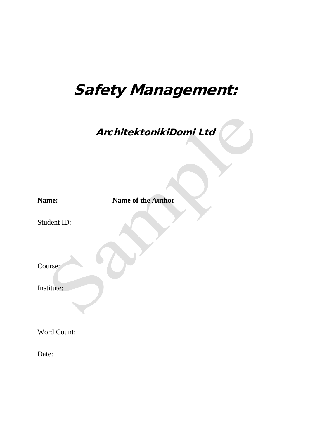# Safety Management:

ArchitektonikiDomi Ltd

| Name:       | <b>Name of the Author</b> |  |
|-------------|---------------------------|--|
| Student ID: |                           |  |
| Course:     |                           |  |
| Institute:  |                           |  |
| Word Count: |                           |  |
| Date:       |                           |  |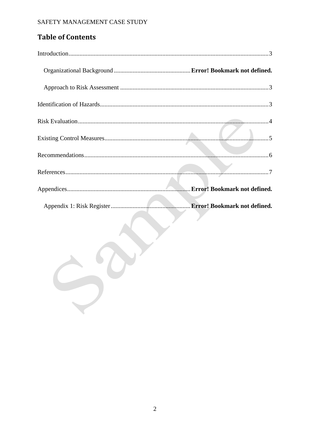# **Table of Contents**

| Error! Bookmark not defined. |
|------------------------------|
| Error! Bookmark not defined. |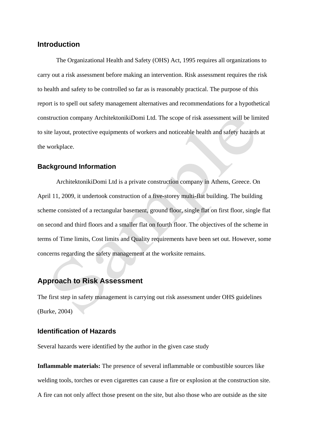### <span id="page-2-0"></span>**Introduction**

The Organizational Health and Safety (OHS) Act, 1995 requires all organizations to carry out a risk assessment before making an intervention. Risk assessment requires the risk to health and safety to be controlled so far as is reasonably practical. The purpose of this report is to spell out safety management alternatives and recommendations for a hypothetical construction company ArchitektonikiDomi Ltd. The scope of risk assessment will be limited to site layout, protective equipments of workers and noticeable health and safety hazards at the workplace.

#### **Background Information**

ArchitektonikiDomi Ltd is a private construction company in Athens, Greece. On April 11, 2009, it undertook construction of a five-storey multi-flat building. The building scheme consisted of a rectangular basement, ground floor, single flat on first floor, single flat on second and third floors and a smaller flat on fourth floor. The objectives of the scheme in terms of Time limits, Cost limits and Quality requirements have been set out. However, some concerns regarding the safety management at the worksite remains.

## <span id="page-2-1"></span>**Approach to Risk Assessment**

The first step in safety management is carrying out risk assessment under OHS guidelines (Burke, 2004)

#### <span id="page-2-2"></span>**Identification of Hazards**

Several hazards were identified by the author in the given case study

**Inflammable materials:** The presence of several inflammable or combustible sources like welding tools, torches or even cigarettes can cause a fire or explosion at the construction site. A fire can not only affect those present on the site, but also those who are outside as the site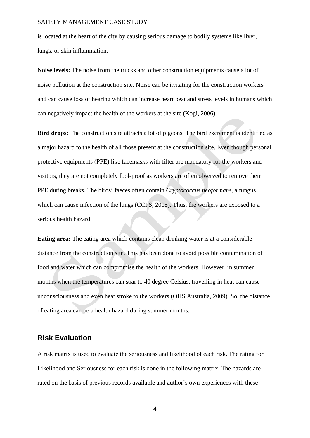is located at the heart of the city by causing serious damage to bodily systems like liver, lungs, or skin inflammation.

**Noise levels:** The noise from the trucks and other construction equipments cause a lot of noise pollution at the construction site. Noise can be irritating for the construction workers and can cause loss of hearing which can increase heart beat and stress levels in humans which can negatively impact the health of the workers at the site (Kogi, 2006).

**Bird drops:** The construction site attracts a lot of pigeons. The bird excrement is identified as a major hazard to the health of all those present at the construction site. Even though personal protective equipments (PPE) like facemasks with filter are mandatory for the workers and visitors, they are not completely fool-proof as workers are often observed to remove their PPE during breaks. The birds' faeces often contain *Cryptococcus neoformans*, a fungus which can cause infection of the lungs (CCPS, 2005). Thus, the workers are exposed to a serious health hazard.

**Eating area:** The eating area which contains clean drinking water is at a considerable distance from the construction site. This has been done to avoid possible contamination of food and water which can compromise the health of the workers. However, in summer months when the temperatures can soar to 40 degree Celsius, travelling in heat can cause unconsciousness and even heat stroke to the workers (OHS Australia, 2009). So, the distance of eating area can be a health hazard during summer months.

#### <span id="page-3-0"></span>**Risk Evaluation**

A risk matrix is used to evaluate the seriousness and likelihood of each risk. The rating for Likelihood and Seriousness for each risk is done in the following matrix. The hazards are rated on the basis of previous records available and author's own experiences with these

4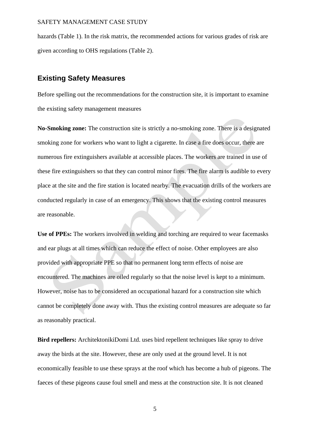hazards (Table 1). In the risk matrix, the recommended actions for various grades of risk are given according to OHS regulations (Table 2).

## <span id="page-4-0"></span>**Existing Safety Measures**

Before spelling out the recommendations for the construction site, it is important to examine the existing safety management measures

**No-Smoking zone:** The construction site is strictly a no-smoking zone. There is a designated smoking zone for workers who want to light a cigarette. In case a fire does occur, there are numerous fire extinguishers available at accessible places. The workers are trained in use of these fire extinguishers so that they can control minor fires. The fire alarm is audible to every place at the site and the fire station is located nearby. The evacuation drills of the workers are conducted regularly in case of an emergency. This shows that the existing control measures are reasonable.

**Use of PPEs:** The workers involved in welding and torching are required to wear facemasks and ear plugs at all times which can reduce the effect of noise. Other employees are also provided with appropriate PPE so that no permanent long term effects of noise are encountered. The machines are oiled regularly so that the noise level is kept to a minimum. However, noise has to be considered an occupational hazard for a construction site which cannot be completely done away with. Thus the existing control measures are adequate so far as reasonably practical.

**Bird repellers:** ArchitektonikiDomi Ltd. uses bird repellent techniques like spray to drive away the birds at the site. However, these are only used at the ground level. It is not economically feasible to use these sprays at the roof which has become a hub of pigeons. The faeces of these pigeons cause foul smell and mess at the construction site. It is not cleaned

5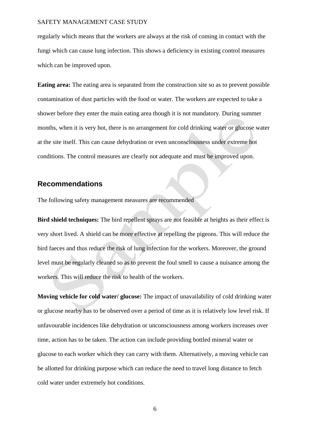regularly which means that the workers are always at the risk of coming in contact with the fungi which can cause lung infection. This shows a deficiency in existing control measures which can be improved upon.

**Eating area:** The eating area is separated from the construction site so as to prevent possible contamination of dust particles with the food or water. The workers are expected to take a shower before they enter the main eating area though it is not mandatory. During summer months, when it is very hot, there is no arrangement for cold drinking water or glucose water at the site itself. This can cause dehydration or even unconsciousness under extreme hot conditions. The control measures are clearly not adequate and must be improved upon.

## <span id="page-5-0"></span>**Recommendations**

The following safety management measures are recommended

**Bird shield techniques:** The bird repellent sprays are not feasible at heights as their effect is very short lived. A shield can be more effective at repelling the pigeons. This will reduce the bird faeces and thus reduce the risk of lung infection for the workers. Moreover, the ground level must be regularly cleaned so as to prevent the foul smell to cause a nuisance among the workers. This will reduce the risk to health of the workers.

**Moving vehicle for cold water/ glucose:** The impact of unavailability of cold drinking water or glucose nearby has to be observed over a period of time as it is relatively low level risk. If unfavourable incidences like dehydration or unconsciousness among workers increases over time, action has to be taken. The action can include providing bottled mineral water or glucose to each worker which they can carry with them. Alternatively, a moving vehicle can be allotted for drinking purpose which can reduce the need to travel long distance to fetch cold water under extremely hot conditions.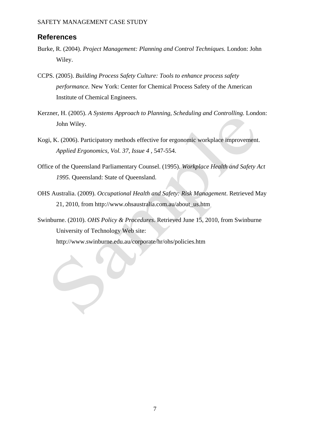## <span id="page-6-0"></span>**References**

- Burke, R. (2004). *Project Management: Planning and Control Techniques.* London: John Wiley.
- CCPS. (2005). *Building Process Safety Culture: Tools to enhance process safety performance.* New York: Center for Chemical Process Safety of the American Institute of Chemical Engineers.
- Kerzner, H. (2005). *A Systems Approach to Planning, Scheduling and Controlling.* London: John Wiley.
- Kogi, K. (2006). Participatory methods effective for ergonomic workplace improvement. *Applied Ergonomics, Vol. 37, Issue 4* , 547-554.
- Office of the Queensland Parliamentary Counsel. (1995). *Workplace Health and Safety Act 1995.* Queensland: State of Queensland.
- OHS Australia. (2009). *Occupational Health and Safety: Risk Management*. Retrieved May 21, 2010, from http://www.ohsaustralia.com.au/about\_us.htm
- Swinburne. (2010). *OHS Policy & Procedures*. Retrieved June 15, 2010, from Swinburne University of Technology Web site:

http://www.swinburne.edu.au/corporate/hr/ohs/policies.htm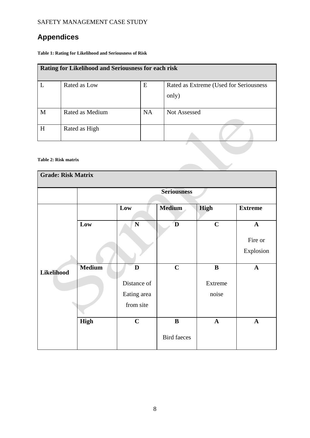# **Appendices**

**Table 1: Rating for Likelihood and Seriousness of Risk**

| Rating for Likelihood and Seriousness for each risk |                      |           |                                                 |
|-----------------------------------------------------|----------------------|-----------|-------------------------------------------------|
| L                                                   | Rated as Low         | E         | Rated as Extreme (Used for Seriousness<br>only) |
| M                                                   | Rated as Medium      | <b>NA</b> | <b>Not Assessed</b>                             |
| H                                                   | Rated as High        |           |                                                 |
|                                                     | Table 2: Risk matrix |           |                                                 |

#### **Table 2: Risk matrix**

| <b>Grade: Risk Matrix</b> |                    |              |                    |              |                |
|---------------------------|--------------------|--------------|--------------------|--------------|----------------|
|                           | <b>Seriousness</b> |              |                    |              |                |
|                           |                    | Low          | <b>Medium</b>      | High         | <b>Extreme</b> |
| <b>Likelihood</b>         | Low                | N            | D                  | $\mathbf C$  | $\mathbf{A}$   |
|                           |                    |              |                    |              | Fire or        |
|                           |                    |              |                    |              | Explosion      |
|                           | <b>Medium</b>      | $\mathbf{D}$ | $\mathbf C$        | $\bf{B}$     | $\mathbf{A}$   |
|                           |                    | Distance of  |                    | Extreme      |                |
|                           |                    | Eating area  |                    | noise        |                |
|                           |                    | from site    |                    |              |                |
|                           | <b>High</b>        | $\mathbf C$  | $\, {\bf B}$       | $\mathbf{A}$ | $\mathbf A$    |
|                           |                    |              | <b>Bird faeces</b> |              |                |